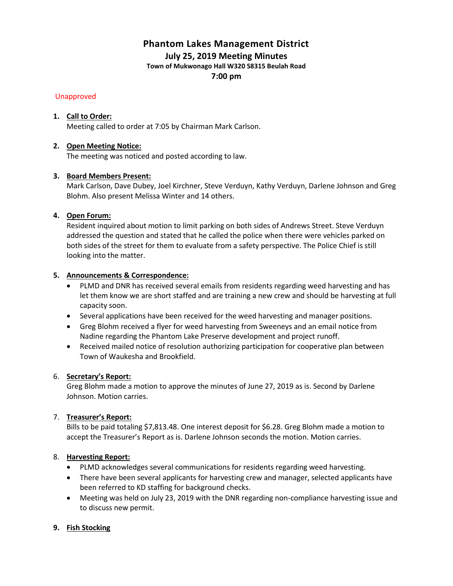# **Phantom Lakes Management District**

**July 25, 2019 Meeting Minutes**

**Town of Mukwonago Hall W320 S8315 Beulah Road**

**7:00 pm**

# Unapproved

# **1. Call to Order:**

Meeting called to order at 7:05 by Chairman Mark Carlson.

# **2. Open Meeting Notice:**

The meeting was noticed and posted according to law.

# **3. Board Members Present:**

Mark Carlson, Dave Dubey, Joel Kirchner, Steve Verduyn, Kathy Verduyn, Darlene Johnson and Greg Blohm. Also present Melissa Winter and 14 others.

# **4. Open Forum:**

Resident inquired about motion to limit parking on both sides of Andrews Street. Steve Verduyn addressed the question and stated that he called the police when there were vehicles parked on both sides of the street for them to evaluate from a safety perspective. The Police Chief is still looking into the matter.

# **5. Announcements & Correspondence:**

- PLMD and DNR has received several emails from residents regarding weed harvesting and has let them know we are short staffed and are training a new crew and should be harvesting at full capacity soon.
- Several applications have been received for the weed harvesting and manager positions.
- Greg Blohm received a flyer for weed harvesting from Sweeneys and an email notice from Nadine regarding the Phantom Lake Preserve development and project runoff.
- Received mailed notice of resolution authorizing participation for cooperative plan between Town of Waukesha and Brookfield.

# 6. **Secretary's Report:**

Greg Blohm made a motion to approve the minutes of June 27, 2019 as is. Second by Darlene Johnson. Motion carries.

# 7. **Treasurer's Report:**

Bills to be paid totaling \$7,813.48. One interest deposit for \$6.28. Greg Blohm made a motion to accept the Treasurer's Report as is. Darlene Johnson seconds the motion. Motion carries.

# 8. **Harvesting Report:**

- PLMD acknowledges several communications for residents regarding weed harvesting.
- There have been several applicants for harvesting crew and manager, selected applicants have been referred to KD staffing for background checks.
- Meeting was held on July 23, 2019 with the DNR regarding non-compliance harvesting issue and to discuss new permit.

# **9. Fish Stocking**